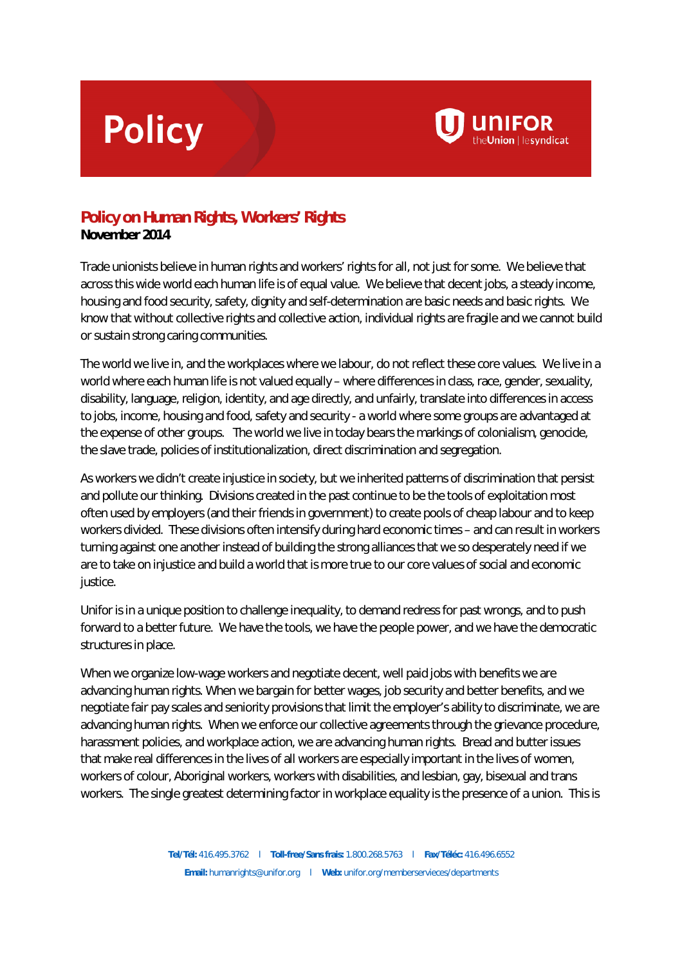## **Policy**



## **Policy on Human Rights, Workers' Rights**

**November 2014**

Trade unionists believe in human rights and workers' rights for all, not just for some. We believe that across this wide world each human life is of equal value. We believe that decent jobs, a steady income, housing and food security, safety, dignity and self-determination are basic needs and basic rights. We know that without collective rights and collective action, individual rights are fragile and we cannot build or sustain strong caring communities.

The world we live in, and the workplaces where we labour, do not reflect these core values. We live in a world where each human life is not valued equally – where differences in class, race, gender, sexuality, disability, language, religion, identity, and age directly, and unfairly, translate into differences in access to jobs, income, housing and food, safety and security - a world where some groups are advantaged at the expense of other groups. The world we live in today bears the markings of colonialism, genocide, the slave trade, policies of institutionalization, direct discrimination and segregation.

As workers we didn't create injustice in society, but we inherited patterns of discrimination that persist and pollute our thinking. Divisions created in the past continue to be the tools of exploitation most often used by employers (and their friends in government) to create pools of cheap labour and to keep workers divided. These divisions often intensify during hard economic times – and can result in workers turning against one another instead of building the strong alliances that we so desperately need if we are to take on injustice and build a world that is more true to our core values of social and economic justice.

Unifor is in a unique position to challenge inequality, to demand redress for past wrongs, and to push forward to a better future. We have the tools, we have the people power, and we have the democratic structures in place.

When we organize low-wage workers and negotiate decent, well paid jobs with benefits we are advancing human rights. When we bargain for better wages, job security and better benefits, and we negotiate fair pay scales and seniority provisions that limit the employer's ability to discriminate, we are advancing human rights. When we enforce our collective agreements through the grievance procedure, harassment policies, and workplace action, we are advancing human rights. Bread and butter issues that make real differences in the lives of all workers are especially important in the lives of women, workers of colour, Aboriginal workers, workers with disabilities, and lesbian, gay, bisexual and trans workers. The single greatest determining factor in workplace equality is the presence of a union. This is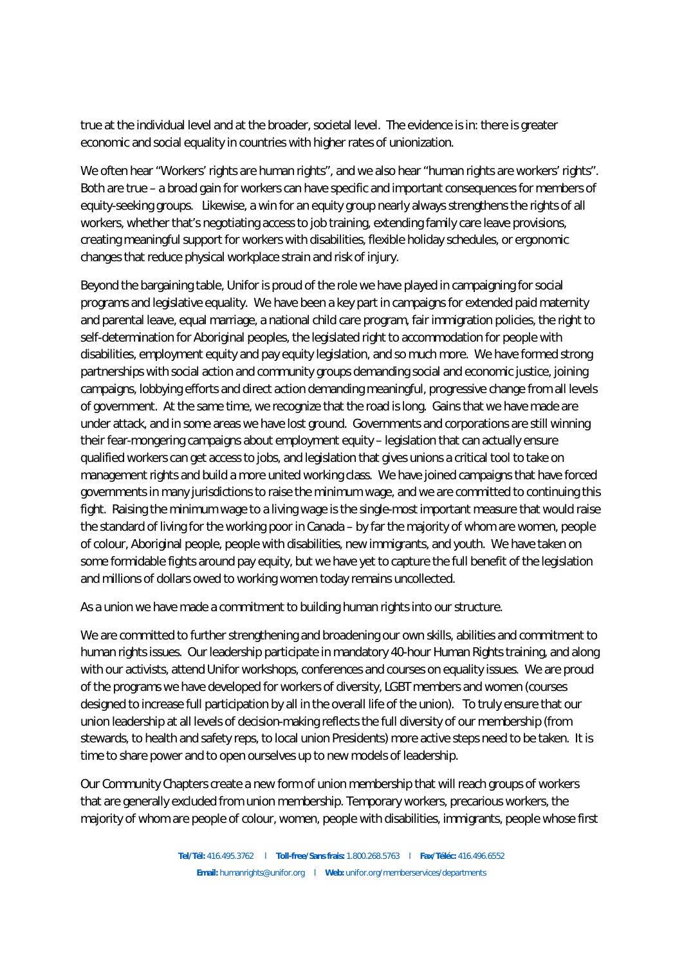true at the individual level and at the broader, societal level. The evidence is in: there is greater economic and social equality in countries with higher rates of unionization.

We often hear "Workers' rights are human rights", and we also hear "human rights are workers' rights". Both are true – a broad gain for workers can have specific and important consequences for members of equity-seeking groups. Likewise, a win for an equity group nearly always strengthens the rights of all workers, whether that's negotiating access to job training, extending family care leave provisions, creating meaningful support for workers with disabilities, flexible holiday schedules, or ergonomic changes that reduce physical workplace strain and risk of injury.

Beyond the bargaining table, Unifor is proud of the role we have played in campaigning for social programs and legislative equality. We have been a key part in campaigns for extended paid maternity and parental leave, equal marriage, a national child care program, fair immigration policies, the right to self-determination for Aboriginal peoples, the legislated right to accommodation for people with disabilities, employment equity and pay equity legislation, and so much more. We have formed strong partnerships with social action and community groups demanding social and economic justice, joining campaigns, lobbying efforts and direct action demanding meaningful, progressive change from all levels of government. At the same time, we recognize that the road is long. Gains that we have made are under attack, and in some areas we have lost ground. Governments and corporations are still winning their fear-mongering campaigns about employment equity – legislation that can actually ensure qualified workers can get access to jobs, and legislation that gives unions a critical tool to take on management rights and build a more united working class. We have joined campaigns that have forced governments in many jurisdictions to raise the minimum wage, and we are committed to continuing this fight. Raising the minimum wage to a living wage is the single-most important measure that would raise the standard of living for the working poor in Canada – by far the majority of whom are women, people of colour, Aboriginal people, people with disabilities, new immigrants, and youth. We have taken on some formidable fights around pay equity, but we have yet to capture the full benefit of the legislation and millions of dollars owed to working women today remains uncollected.

As a union we have made a commitment to building human rights into our structure.

We are committed to further strengthening and broadening our own skills, abilities and commitment to human rights issues. Our leadership participate in mandatory 40-hour Human Rights training, and along with our activists, attend Unifor workshops, conferences and courses on equality issues. We are proud of the programs we have developed for workers of diversity, LGBT members and women (courses designed to increase full participation by all in the overall life of the union). To truly ensure that our union leadership at all levels of decision-making reflects the full diversity of our membership (from stewards, to health and safety reps, to local union Presidents) more active steps need to be taken. It is time to share power and to open ourselves up to new models of leadership.

Our Community Chapters create a new form of union membership that will reach groups of workers that are generally excluded from union membership. Temporary workers, precarious workers, the majority of whom are people of colour, women, people with disabilities, immigrants, people whose first